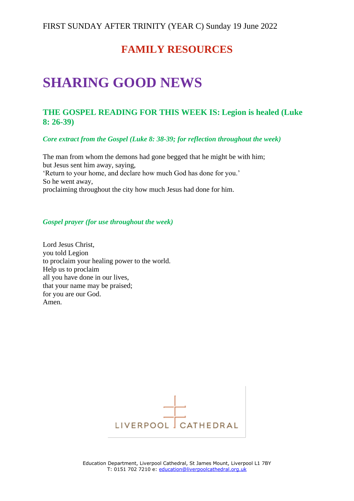## **FAMILY RESOURCES**

# **SHARING GOOD NEWS**

### **THE GOSPEL READING FOR THIS WEEK IS: Legion is healed (Luke 8: 26-39)**

*Core extract from the Gospel (Luke 8: 38-39; for reflection throughout the week)*

The man from whom the demons had gone begged that he might be with him; but Jesus sent him away, saying, 'Return to your home, and declare how much God has done for you.' So he went away, proclaiming throughout the city how much Jesus had done for him.

#### *Gospel prayer (for use throughout the week)*

Lord Jesus Christ, you told Legion to proclaim your healing power to the world. Help us to proclaim all you have done in our lives, that your name may be praised; for you are our God. Amen.